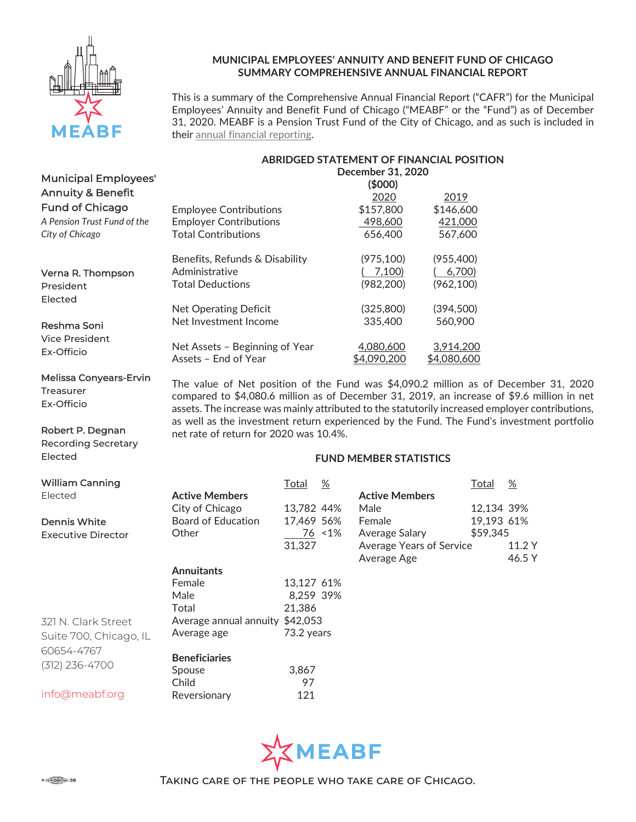

Melissa Conyears-Ervin

Robert P. Degnan Recording Secretary

Treasurer Ex-Officio

Elected

#### MUNICIPAL EMPLOYEES' ANNUITY AND BENEFIT FUND OF CHICAGO SUMMARY COMPREHENSIVE ANNUAL FINANCIAL REPORT

This is a summary of the Comprehensive Annual Financial Report ("CAFR") for the Municipal Employees' Annuity and Benefit Fund of Chicago ("MEABF" or the "Fund") as of December 31, 2020. MEABF is a Pension Trust Fund of the City of Chicago, and as such is included in their annual financial reporting.

| ABRIDGED STATEMENT OF FINANCIAL POSITION |
|------------------------------------------|
| December 31, 2020                        |

| <b>Municipal Employees'</b>  |                                | December 31, 2020 |             |  |  |  |  |
|------------------------------|--------------------------------|-------------------|-------------|--|--|--|--|
|                              |                                | (\$000)           |             |  |  |  |  |
| <b>Annuity &amp; Benefit</b> |                                | 2020              | 2019        |  |  |  |  |
| <b>Fund of Chicago</b>       | <b>Employee Contributions</b>  | \$157,800         | \$146,600   |  |  |  |  |
| A Pension Trust Fund of the  | <b>Employer Contributions</b>  | 498,600           | 421,000     |  |  |  |  |
| City of Chicago              | <b>Total Contributions</b>     | 656,400           | 567,600     |  |  |  |  |
|                              | Benefits, Refunds & Disability | (975, 100)        | (955, 400)  |  |  |  |  |
| Verna R. Thompson            | Administrative                 | 7.100             | 6,700       |  |  |  |  |
| President                    | <b>Total Deductions</b>        | (982, 200)        | (962, 100)  |  |  |  |  |
| Elected                      |                                |                   |             |  |  |  |  |
|                              | Net Operating Deficit          | (325,800)         | (394,500)   |  |  |  |  |
| Reshma Soni                  | Net Investment Income          | 335,400           | 560,900     |  |  |  |  |
| <b>Vice President</b>        | Net Assets - Beginning of Year | 4,080,600         | 3,914,200   |  |  |  |  |
| Ex-Officio                   | Assets - End of Year           | \$4,090,200       | \$4,080,600 |  |  |  |  |

The value of Net position of the Fund was \$4,090.2 million as of December 31, 2020 compared to \$4,080.6 million as of December 31, 2019, an increase of \$9.6 million in net assets. The increase was mainly attributed to the statutorily increased employer contributions, as well as the investment return experienced by the Fund. The Fund's investment portfolio net rate of return for 2020 was 10.4%.

#### FUND MEMBER STATISTICS

| <b>William Canning</b>    |                                 | Total      | %      |                                 | Total      | $\%$   |
|---------------------------|---------------------------------|------------|--------|---------------------------------|------------|--------|
| Elected                   | <b>Active Members</b>           |            |        | <b>Active Members</b>           |            |        |
|                           | City of Chicago                 | 13,782 44% |        | Male                            | 12,134 39% |        |
| <b>Dennis White</b>       | <b>Board of Education</b>       | 17,469 56% |        | Female                          | 19,193 61% |        |
| <b>Executive Director</b> | Other                           |            | 76 <1% | Average Salary                  | \$59,345   |        |
|                           |                                 | 31,327     |        | <b>Average Years of Service</b> |            | 11.2 Y |
|                           |                                 |            |        | Average Age                     |            | 46.5 Y |
|                           | <b>Annuitants</b>               |            |        |                                 |            |        |
|                           | Female                          | 13,127 61% |        |                                 |            |        |
|                           | Male                            | 8,259 39%  |        |                                 |            |        |
|                           | Total                           | 21,386     |        |                                 |            |        |
| 321 N. Clark Street       | Average annual annuity \$42,053 |            |        |                                 |            |        |
| Suite 700, Chicago, IL    | Average age                     | 73.2 years |        |                                 |            |        |
| 60654-4767                |                                 |            |        |                                 |            |        |
| $(312)$ 236-4700          | <b>Beneficiaries</b>            |            |        |                                 |            |        |
|                           | Spouse                          | 3.867      |        |                                 |            |        |
|                           | Child                           | 97         |        |                                 |            |        |
| info@meabf.org            | Reversionary                    | 121        |        |                                 |            |        |

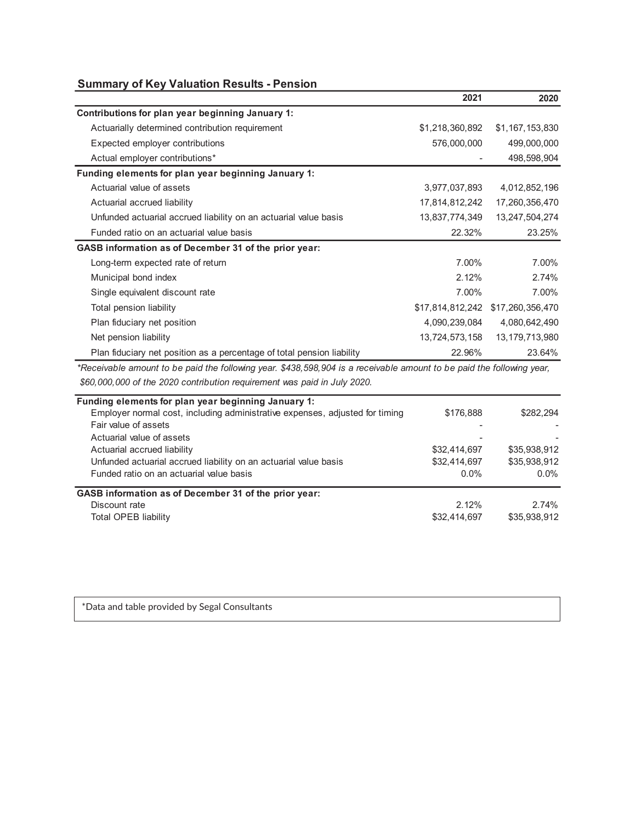# Summary of Key Valuation Results - Pension

|                                                                        | 2021             | 2020              |
|------------------------------------------------------------------------|------------------|-------------------|
| Contributions for plan year beginning January 1:                       |                  |                   |
| Actuarially determined contribution requirement                        | \$1,218,360,892  | \$1,167,153,830   |
| Expected employer contributions                                        | 576,000,000      | 499,000,000       |
| Actual employer contributions*                                         |                  | 498,598,904       |
| Funding elements for plan year beginning January 1:                    |                  |                   |
| Actuarial value of assets                                              | 3,977,037,893    | 4,012,852,196     |
| Actuarial accrued liability                                            | 17,814,812,242   | 17,260,356,470    |
| Unfunded actuarial accrued liability on an actuarial value basis       | 13,837,774,349   | 13,247,504,274    |
| Funded ratio on an actuarial value basis                               | 22.32%           | 23.25%            |
| GASB information as of December 31 of the prior year:                  |                  |                   |
| Long-term expected rate of return                                      | 7.00%            | 7.00%             |
| Municipal bond index                                                   | 2.12%            | 2.74%             |
| Single equivalent discount rate                                        | 7.00%            | 7.00%             |
| Total pension liability                                                | \$17,814,812,242 | \$17,260,356,470  |
| Plan fiduciary net position                                            | 4,090,239,084    | 4,080,642,490     |
| Net pension liability                                                  | 13,724,573,158   | 13, 179, 713, 980 |
| Plan fiduciary net position as a percentage of total pension liability | 22.96%           | 23.64%            |

 \$60,000,000 of the 2020 contribution requirement was paid in July 2020. \*Receivable amount to be paid the following year. \$438,598,904 is a receivable amount to be paid the following year,

| Funding elements for plan year beginning January 1:                          |              |              |
|------------------------------------------------------------------------------|--------------|--------------|
| Employer normal cost, including administrative expenses, adjusted for timing | \$176,888    | \$282.294    |
| Fair value of assets                                                         |              |              |
| Actuarial value of assets                                                    |              |              |
| Actuarial accrued liability                                                  | \$32,414,697 | \$35,938,912 |
| Unfunded actuarial accrued liability on an actuarial value basis             | \$32,414,697 | \$35,938,912 |
| Funded ratio on an actuarial value basis                                     | $0.0\%$      | $0.0\%$      |
| GASB information as of December 31 of the prior year:                        |              |              |
| Discount rate                                                                | 2.12%        | 2.74%        |
| Total OPEB liability                                                         | \$32,414,697 | \$35,938,912 |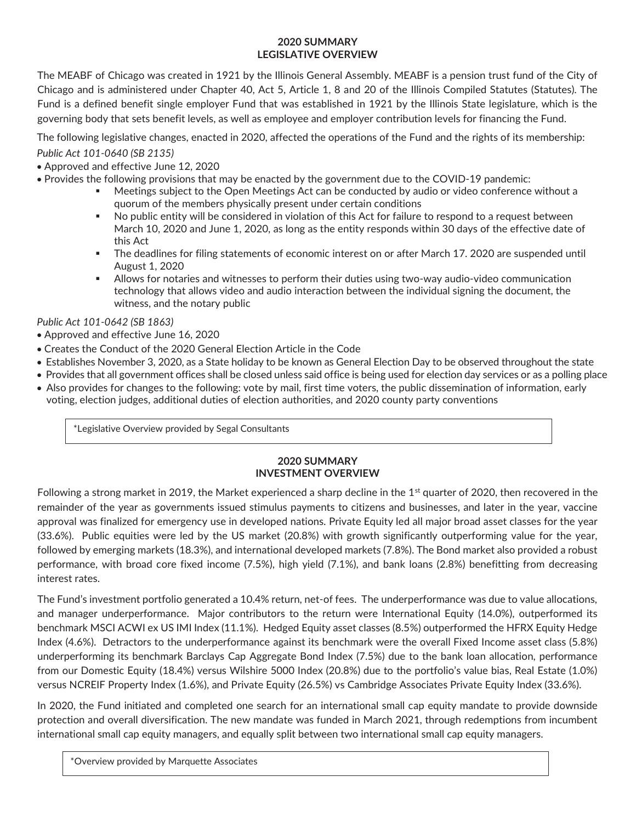# 2020 SUMMARY LEGISLATIVE OVERVIEW

The MEABF of Chicago was created in 1921 by the Illinois General Assembly. MEABF is a pension trust fund of the City of Chicago and is administered under Chapter 40, Act 5, Article 1, 8 and 20 of the Illinois Compiled Statutes (Statutes). The Fund is a defined benefit single employer Fund that was established in 1921 by the Illinois State legislature, which is the governing body that sets benefit levels, as well as employee and employer contribution levels for financing the Fund.

The following legislative changes, enacted in 2020, affected the operations of the Fund and the rights of its membership:

# Public Act 101-0640 (SB 2135)

- Approved and effective June 12, 2020
- Provides the following provisions that may be enacted by the government due to the COVID-19 pandemic:
	- Meetings subject to the Open Meetings Act can be conducted by audio or video conference without a quorum of the members physically present under certain conditions
	- No public entity will be considered in violation of this Act for failure to respond to a request between March 10, 2020 and June 1, 2020, as long as the entity responds within 30 days of the effective date of this Act
	- The deadlines for filing statements of economic interest on or after March 17. 2020 are suspended until August 1, 2020
	- Allows for notaries and witnesses to perform their duties using two-way audio-video communication technology that allows video and audio interaction between the individual signing the document, the witness, and the notary public

# Public Act 101-0642 (SB 1863)

- Approved and effective June 16, 2020
- Creates the Conduct of the 2020 General Election Article in the Code
- Establishes November 3, 2020, as a State holiday to be known as General Election Day to be observed throughout the state
- Provides that all government offices shall be closed unless said office is being used for election day services or as a polling place
- Also provides for changes to the following: vote by mail, first time voters, the public dissemination of information, early voting, election judges, additional duties of election authorities, and 2020 county party conventions

\*Legislative Overview provided by Segal Consultants

### 2020 SUMMARY INVESTMENT OVERVIEW

Following a strong market in 2019, the Market experienced a sharp decline in the  $1<sup>st</sup>$  quarter of 2020, then recovered in the remainder of the year as governments issued stimulus payments to citizens and businesses, and later in the year, vaccine approval was finalized for emergency use in developed nations. Private Equity led all major broad asset classes for the year (33.6%). Public equities were led by the US market (20.8%) with growth significantly outperforming value for the year, followed by emerging markets (18.3%), and international developed markets (7.8%). The Bond market also provided a robust performance, with broad core fixed income (7.5%), high yield (7.1%), and bank loans (2.8%) benefitting from decreasing interest rates.

The Fund's investment portfolio generated a 10.4% return, net-of fees. The underperformance was due to value allocations, and manager underperformance. Major contributors to the return were International Equity (14.0%), outperformed its benchmark MSCI ACWI ex US IMI Index (11.1%). Hedged Equity asset classes (8.5%) outperformed the HFRX Equity Hedge Index (4.6%). Detractors to the underperformance against its benchmark were the overall Fixed Income asset class (5.8%) underperforming its benchmark Barclays Cap Aggregate Bond Index (7.5%) due to the bank loan allocation, performance from our Domestic Equity (18.4%) versus Wilshire 5000 Index (20.8%) due to the portfolio's value bias, Real Estate (1.0%) versus NCREIF Property Index (1.6%), and Private Equity (26.5%) vs Cambridge Associates Private Equity Index (33.6%).

In 2020, the Fund initiated and completed one search for an international small cap equity mandate to provide downside protection and overall diversification. The new mandate was funded in March 2021, through redemptions from incumbent international small cap equity managers, and equally split between two international small cap equity managers.